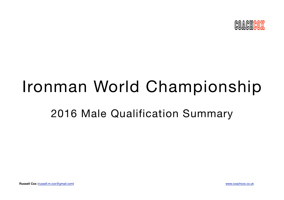

# Ironman World Championship

# 2016 Male Qualification Summary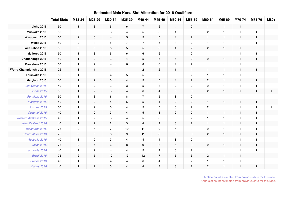|                                | <b>Total Slots</b> | M18-24         | M25-29                    | M30-34                    | M35-39         | M40-44         | M45-49         | M50-54                    | M55-59         | M60-64         | M65-69               | M70-74       | M75-79         | M80+ |
|--------------------------------|--------------------|----------------|---------------------------|---------------------------|----------------|----------------|----------------|---------------------------|----------------|----------------|----------------------|--------------|----------------|------|
| <b>Vichy 2015</b>              | 50                 | $\mathbf{1}$   | $\mathbf{3}$              | 5                         | 6              | $\overline{7}$ | 6              | $\overline{4}$            | $\overline{2}$ | $\mathbf{1}$   | $\mathbf{1}$         | $\mathbf{1}$ |                |      |
| Muskoka 2015                   | 50                 | $\overline{c}$ | $\ensuremath{\mathsf{3}}$ | $\mathbf{3}$              | $\overline{4}$ | $\overline{5}$ | 5              | $\overline{4}$            | 3              | $\overline{c}$ | $\blacktriangleleft$ | $\mathbf{1}$ | $\overline{1}$ |      |
| Wisconsin 2015                 | 50                 | $\overline{2}$ | $\mathbf{3}$              | $\overline{4}$            | 5              | 5              | 5              | $\overline{4}$            | $\overline{2}$ | $\mathbf{1}$   | $\mathbf{1}$         | $\mathbf{1}$ | $\overline{1}$ |      |
| <b>Wales 2015</b>              | 50                 | $\overline{2}$ | 3                         | 5                         | $\overline{7}$ | $\overline{7}$ | 5              | 3                         | 2              | $\overline{1}$ | $\overline{1}$       |              | $\overline{1}$ |      |
| Lake Tahoe 2015                | 50                 | $\mathbf{2}$   | $\ensuremath{\mathsf{3}}$ | $\overline{5}$            | $\overline{5}$ | $\sqrt{5}$     | 5              | $\overline{4}$            | $\overline{2}$ | $\overline{c}$ | $\mathbf{1}$         | $\mathbf{1}$ |                |      |
| Mallorca 2015                  | 50                 | $\mathbf{1}$   | 3                         | 5                         | 6              | 6              | 6              | $\overline{4}$            | $\overline{2}$ | $\overline{1}$ | $\blacktriangleleft$ | $\mathbf{1}$ | $\overline{1}$ |      |
| Chattanooga 2015               | 50                 | $\mathbf{1}$   | $\mathbf{2}$              | $\mathbf 3$               | $\overline{4}$ | $\mathbf 5$    | 5              | $\overline{4}$            | $\mathbf{2}$   | $\overline{2}$ | $\mathbf{1}$         | $\mathbf{1}$ | $\mathbf{1}$   |      |
| Barcelona 2015                 | 50                 | $\overline{1}$ | $\mathbf{2}$              | $\overline{4}$            | 6              | 8              | 6              | 4                         | $\overline{c}$ | $\overline{1}$ | $\overline{1}$       | $\mathbf{1}$ |                |      |
| <b>World Championship 2015</b> | 26                 | $\mathbf{1}$   | $\mathbf{1}$              | $\mathbf{1}$              | $\mathbf{1}$   | $\sqrt{2}$     | $\overline{c}$ | $\mathbf{1}$              | $\mathbf{1}$   | $\mathbf{1}$   | $\mathbf{1}$         | $\mathbf{1}$ | $\overline{1}$ |      |
| Louisville 2015                | 50                 | $\overline{1}$ | 3                         | $\overline{4}$            | 5              | $\overline{5}$ | 5              | 3                         | $\overline{2}$ | $\mathbf{1}$   | -1                   | $\mathbf{1}$ |                |      |
| Maryland 2015                  | 50                 | $\mathbf{1}$   | $\overline{2}$            | $\mathbf{3}$              | $\overline{4}$ | $\overline{5}$ | 5              | $\overline{4}$            | $\overline{2}$ | $\overline{2}$ | $\mathbf{1}$         | $\mathbf{1}$ | $\mathbf{1}$   |      |
| Los Cabos 2015                 | 40                 | $\overline{1}$ | $\overline{2}$            | 3                         | 3              | 5              | 3              | $\overline{2}$            | 2              | $\overline{2}$ | $\overline{1}$       | $\mathbf{1}$ | $\overline{1}$ |      |
| Florida 2015                   | 50                 | $\overline{1}$ | $\overline{2}$            | 3                         | $\overline{4}$ | 6              | 4              | 3                         | 3              | $\overline{2}$ | $\mathbf{1}$         | $\mathbf{1}$ | $\overline{1}$ | 1    |
| Fortaleza 2015                 | 50                 | $\overline{1}$ | $\mathbf{3}$              | 6                         | 8              | $\overline{7}$ | 5              | $\mathbf{3}$              | $\overline{2}$ | $\mathbf{1}$   | $\mathbf{1}$         |              |                |      |
| Malaysia 2015                  | 40                 | $\mathbf{1}$   | $\mathbf{2}$              | $\overline{4}$            | $\mathbf 5$    | $\mathbf 5$    | $\overline{4}$ | $\overline{c}$            | $\overline{2}$ | $\mathbf{1}$   | $\mathbf{1}$         | $\mathbf{1}$ | $\mathbf{1}$   |      |
| Arizona 2015                   | 50                 | $\overline{1}$ | $\overline{2}$            | 3                         | $\overline{4}$ | 5              | 5              | 3                         | $\overline{2}$ | $\overline{2}$ | $\overline{1}$       | $\mathbf{1}$ | $\overline{1}$ |      |
| Cozumel 2015                   | 40                 | $\mathbf{1}$   | $\mathbf{2}$              | $\ensuremath{\mathsf{3}}$ | $\overline{4}$ | $\mathbf 5$    | 3              | $\overline{2}$            | $\overline{2}$ | $\mathbf{1}$   | $\mathbf{1}$         | $\mathbf{1}$ | $\overline{1}$ |      |
| Western Australia 2015         | 40                 | $\overline{1}$ | $\overline{2}$            | 3                         | $\overline{4}$ | 5              | 3              | 3                         | $\overline{c}$ | -1             | -1                   | $\mathbf{1}$ | $\overline{1}$ |      |
| New Zealand 2016               | 40                 | $\mathbf{1}$   | $\mathbf{2}$              | $\overline{2}$            | 3              | $\overline{4}$ | $\overline{4}$ | 3                         | $\overline{2}$ | $\mathbf{1}$   | $\mathbf{1}$         | $\mathbf{1}$ | $\mathbf{1}$   |      |
| Melbourne 2016                 | 75                 | $\overline{c}$ | $\overline{4}$            | $\overline{7}$            | 10             | 11             | 9              | 5                         | 3              | $\overline{2}$ | $\blacktriangleleft$ | $\mathbf{1}$ | $\overline{1}$ |      |
| South Africa 2016              | 75                 | $\overline{2}$ | $5\phantom{.0}$           | $\bf 8$                   | 9              | 11             | 8              | $\overline{5}$            | 3              | $\overline{2}$ | $\mathbf{1}$         | $\mathbf{1}$ | $\mathbf{1}$   |      |
| Australia 2016                 | 40                 | $\overline{1}$ | $\overline{2}$            | 3                         | $\overline{4}$ | $\overline{4}$ | 4              | 3                         | $\overline{2}$ | $\mathbf{1}$   | $\mathbf{1}$         | $\mathbf{1}$ | $\mathbf{1}$   |      |
| <b>Texas 2016</b>              | 75                 | $\mathbf{2}$   | $\overline{4}$            | $\,6\,$                   | 8              | 9              | 8              | $\,6\,$                   | $\mathbf{3}$   | $\overline{2}$ | $\mathbf{1}$         | $\mathbf{1}$ | $\mathbf{1}$   |      |
| Lanzarote 2016                 | 40                 | $\overline{1}$ | $\overline{2}$            | $\overline{4}$            | $\overline{4}$ | 5              | 4              | 3                         | $\overline{2}$ | $\mathbf{1}$   | $\overline{1}$       | $\mathbf{1}$ | $\overline{1}$ |      |
| Brazil 2016                    | 75                 | $\overline{2}$ | 5                         | 10                        | 13             | 12             | $\overline{7}$ | $\mathbf 5$               | 3              | $\overline{2}$ | $\mathbf{1}$         | $\mathbf{1}$ |                |      |
| France 2016                    | 40                 | $\overline{1}$ | $\ensuremath{\mathsf{3}}$ | $\overline{4}$            | $\overline{4}$ | 6              | 4              | $\ensuremath{\mathsf{3}}$ | $\overline{c}$ | $\overline{1}$ | $\mathbf{1}$         | $\mathbf{1}$ |                |      |
| Cairns 2016                    | 40                 | $\mathbf{1}$   | $\overline{2}$            | 3                         | $\overline{4}$ | $\overline{4}$ | 3              | 3                         | $\overline{2}$ | $\overline{2}$ | $\mathbf{1}$         | $\mathbf{1}$ | $\overline{1}$ |      |

#### **Estimated Male Kona Slot Allocation for 2016 Qualifiers**

Athlete count estimated from previous data for this race. Kona slot count estimated from previous data for this race.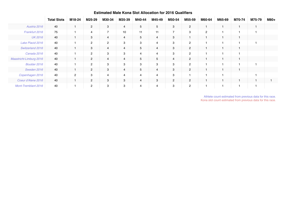|                            | <b>Total Slots</b> | M18-24         | M25-29         | M30-34         | M35-39         | M40-44         | M45-49         | M50-54         | M55-59         | M60-64         | M65-69         | M70-74 | M75-79 | M80+ |
|----------------------------|--------------------|----------------|----------------|----------------|----------------|----------------|----------------|----------------|----------------|----------------|----------------|--------|--------|------|
| Austria 2016               | 40                 |                | $\mathbf{2}$   | 3              | $\overline{4}$ | 5              | 5              | 3              | $\overline{2}$ |                | $\overline{1}$ |        |        |      |
| Frankfurt 2016             | 75                 |                | $\overline{4}$ | $\overline{7}$ | 10             | 11             | 11             | 7              | 3              | $\overline{2}$ | 1              |        |        |      |
| <b>UK 2016</b>             | 40                 |                | 3              | $\overline{4}$ | $\overline{4}$ | 5              | $\overline{4}$ | 3              |                |                | $\mathbf{1}$   |        |        |      |
| Lake Placid 2016           | 40                 |                | $\overline{2}$ | $\overline{2}$ | 3              | 3              | $\overline{4}$ | 3              | $\overline{2}$ |                | -1             |        |        |      |
| Switzerland 2016           | 40                 |                | 3              | $\overline{4}$ | $\overline{4}$ | 5              | $\overline{4}$ | 3              | $\overline{2}$ |                | $\mathbf{1}$   |        |        |      |
| Canada 2016                | 40                 |                | 2              | 3              | 3              | $\overline{4}$ | $\overline{4}$ | 3              | $\overline{c}$ |                | н              |        |        |      |
| Maastricht-Limburg 2016    | 40                 |                | $\overline{2}$ | $\overline{4}$ | $\overline{4}$ | 5              | 5              | 4              | $\overline{2}$ |                | 1              |        |        |      |
| Boulder 2016               | 40                 |                | $\overline{2}$ | 3              | 3              | 3              | 3              | 3              | 2              |                | -1             |        |        |      |
| Sweden 2016                | 40                 |                | $\overline{2}$ | 3              | $\overline{4}$ | 5              | $\overline{4}$ | 3              | $\overline{2}$ |                | $\mathbf{1}$   |        |        |      |
| Copenhagen 2016            | 40                 | $\overline{2}$ | 3              | 4              | $\overline{4}$ | $\overline{4}$ | $\overline{4}$ | 3              |                |                | -1             |        |        |      |
| Coeur d'Alene 2016         | 40                 |                | $\overline{2}$ | 3              | 3              | $\overline{4}$ | 3              | $\overline{2}$ | $\overline{2}$ |                | $\mathbf{1}$   |        |        |      |
| <b>Mont-Tremblant 2016</b> | 40                 |                | 2              | 3              | 3              | 4              | $\overline{4}$ | 3              | $\overline{2}$ |                | f              |        |        |      |

#### **Estimated Male Kona Slot Allocation for 2016 Qualifiers**

Athlete count estimated from previous data for this race. Kona slot count estimated from previous data for this race.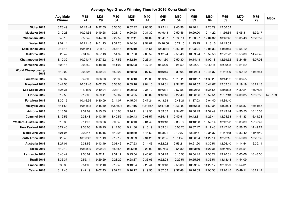# **Average Age Group Winning Time for 2016 Kona Qualifiers**

|                                   | <b>Avg Male</b><br>Winner | M18-<br>24 | M25-<br>29 | M30-<br>34 | M35-<br>39 | M40-<br>44 | M45-<br>49 | M50-<br>54 | M55-<br>59 | M60-<br>64 | M65-<br>69 | M70-<br>74 | M75-<br>79 | M80+     |
|-----------------------------------|---------------------------|------------|------------|------------|------------|------------|------------|------------|------------|------------|------------|------------|------------|----------|
| <b>Vichy 2015</b>                 | 8:23:49                   | 10:13:44   | 9:22:55    | 8:58:38    | 8:52:42    | 9:08:55    | 9:22:41    | 9:40:38    | 10:40:41   | 11:20:29   | 12:56:52   |            |            |          |
| Muskoka 2015                      | 9:19:28                   | 10:01:35   | 9:19:28    | 9:21:19    | 9:20:28    | 9:31:32    | 9:49:43    | 9:50:46    | 10:29:00   | 12:14:22   | 11:56:34   | 15:05:31   | 15:39:17   |          |
| <b>Wisconsin 2015</b>             | 8:48:13                   | 9:53:42    | 9:44:30    | 9:27:59    | 9:32:11    | 9:34:09    | 9:54:57    | 10:30:14   | 11:00:27   | 12:04:32   | 13:46:46   | 15:05:48   | 16:23:57   |          |
| <b>Wales 2015</b>                 | 9:02:14                   | 10:21:45   | 9:51:13    | 9:37:26    | 9:44:34    | 9:51:07    | 10:16:56   | 10:27:15   | 11:15:15   | 12:18:16   | 14:19:09   |            |            |          |
| Lake Tahoe 2015                   | 9:17:18                   | 10:41:44   | 10:11:10   | 9:54:14    | 9:56:19    | 9:45:51    | 10:08:34   | 10:50:08   | 11:03:04   | 12:01:33   | 14:18:15   | 13:55:10   |            |          |
| Mallorca 2015                     | 8:25:42                   | 9:31:02    | 8:57:13    | 8:54:39    | 8:57:30    | 9:03:59    | 9:12:24    | 9:50:48    | 10:09:24   | 10:59:58   | 12:22:23   | 13:53:09   | 14:47:42   |          |
| Chattanooga 2015                  | 8:10:32                   | 10:21:47   | 9:27:52    | 9:17:56    | 9:12:30    | 9:23:34    | 9:41:30    | 9:50:30    | 10:14:48   | 11:02:18   | 12:59:52   | 15:24:56   | 16:07:03   |          |
| Barcelona 2015                    | 8:03:16                   | 9:09:52    | 8:48:48    | 8:41:07    | 8:45:23    | 8:47:45    | 9:05:29    | 9:21:59    | 9:35:29    | 10:42:11   | 12:00:08   | 13:21:29   |            |          |
| <b>World Championship</b><br>2015 | 8:19:02                   | 9:09:25    | 8:59:04    | 8:59:27    | 8:58:53    | 9:07:52    | 9:19:15    | 9:39:05    | 10:02:04   | 10:46:37   | 11:51:06   | 13:02:12   | 14:56:54   |          |
| Louisville 2015                   | 8:32:37                   | 9:47:03    | 9:36:33    | 9:26:36    | 9:26:10    | 9:29:33    | 9:39:45    | 10:13:25   | 10:43:37   | 11:36:20   | 13:44:02   | 15:06:55   |            |          |
| Maryland 2015                     | 8:44:50                   | 10:09:46   | 9:02:33    | 8:53:03    | 8:59:18    | 9:04:10    | 9:14:31    | 9:31:37    | 10:26:52   | 10:41:07   | 12:02:01   | 12:19:19   | 16:22:13   |          |
| Los Cabos 2015                    | 8:26:31                   | 11:04:30   | 9:49:24    | 9:23:17    | 9:20:33    | 9:36:10    | 9:40:31    | 9:57:55    | 10:02:42   | 11:36:56   | 12:55:38   | 14:39:24   | 16:07:23   |          |
| Florida 2015                      | 8:12:58                   | 9:17:00    | 8:59:41    | 8:52:07    | 8:54:25    | 9:06:09    | 9:16:46    | 9:22:49    | 10:06:56   | 10:52:51   | 11:57:13   | 14:00:35   | 16:08:53   | 14:57:39 |
| Fortaleza 2015                    | 8:30:15                   | 10:16:56   | 9:30:09    | 9:14:07    | 9:45:04    | 9:47:24    | 9:43:58    | 10:48:21   | 11:37:03   | 12:04:40   | 14:39:40   |            |            |          |
| Malaysia 2015                     | 8:41:53                   | 10:51:33   | 9:45:49    | 10:06:23   | 9:27:16    | 10:14:55   | 10:17:20   | 10:30:00   | 10:46:08   | 11:50:35   | 13:28:04   | 15:58:37   | 16:51:55   |          |
| Arizona 2015                      | 8:13:52                   | 9:37:09    | 9:15:35    | 9:16:03    | 9:14:11    | 9:19:50    | 9:33:32    | 9:54:07    | 10:30:43   | 11:32:49   | 12:49:14   | 14:36:55   | 16:15:53   |          |
| Cozumel 2015                      | 8:12:56                   | 9:38:48    | 9:13:45    | 8:49:55    | 8:59:43    | 9:08:57    | 9:35:44    | 9:49:51    | 10:42:31   | 11:25:44   | 12:24:58   | 14:41:33   | 16:41:38   |          |
| <b>Western Australia 2015</b>     | 8:13:36                   | 9:11:07    | 9:03:06    | 9:00:40    | 8:56:43    | 9:01:49    | 9:19:13    | 9:35:13    | 10:10:03   | 10:52:14   | 12:42:23   | 13:33:39   | 15:39:47   |          |
| New Zealand 2016                  | 8:22:46                   | 9:33:08    | 9:18:25    | 9:14:08    | 9:21:30    | 9:13:19    | 9:39:31    | 10:03:26   | 10:37:47   | 11:17:48   | 12:47:16   | 13:58:25   | 14:49:27   |          |
| Melbourne 2016                    | 8:01:05                   | 9:22:45    | 8:45:16    | 8:49:24    | 8:49:49    | 8:44:59    | 9:03:21    | 9:10:27    | 9:35:46    | 10:34:37   | 11:57:48   | 13:33:40   | 14:46:40   |          |
| South Africa 2016                 | 8:20:46                   | 10:03:42   | 9:21:19    | 9:19:12    | 9:23:39    | 9:34:26    | 9:58:05    | 10:11:46   | 10:36:54   | 11:29:14   | 12:22:15   | 13:59:00   | 16:25:39   |          |
| Australia 2016                    | 8:27:01                   | 9:31:56    | 9:13:49    | 9:01:46    | 9:07:53    | 9:14:46    | 9:32:02    | 9:55:21    | 10:21:20   | 11:30:51   | 12:26:40   | 14:14:54   | 16:39:11   |          |
| <b>Texas 2016</b>                 | 8:12:10                   | 10:15:39   | 9:09:04    | 8:53:56    | 9:05:39    | 9:23:00    | 9:27:35    | 9:54:30    | 10:33:49   | 11:27:31   | 12:47:10   | 15:25:51   |            |          |
| Lanzarote 2016                    | 8:46:42                   | 9:56:07    | 9:32:41    | 9:31:17    | 9:23:54    | 9:40:06    | 9:54:13    | 10:15:58   | 10:54:45   | 11:38:21   | 13:20:31   | 15:03:06   | 16:43:06   |          |
| Brazil 2016                       | 8:36:37                   | 9:55:14    | 9:29:29    | 9:28:22    | 9:28:37    | 9:36:06    | 9:52:23    | 10:22:51   | 10:55:56   | 11:36:51   | 13:13:48   | 14:44:09   |            |          |
| France 2016                       | 8:30:38                   | 9:54:03    | 9:22:10    | 9:12:46    | 9:13:04    | 9:25:44    | 9:39:43    | 9:56:08    | 10:29:35   | 11:29:17   | 12:59:29   | 13:54:31   |            |          |
| <b>Cairns 2016</b>                | 8:17:45                   | 9:42:19    | 9:02:43    | 9:02:24    | 9:10:12    | 9:19:55    | 9:37:52    | 9:37:48    | 10:16:03   | 11:06:38   | 13:26:45   | 13:49:11   | 16:21:14   |          |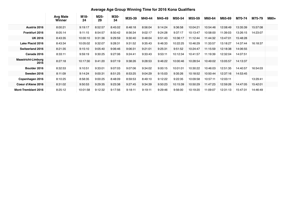# **Average Age Group Winning Time for 2016 Kona Qualifiers**

|                                   |                           |            |            |            |         |         |         | AVULUYU AYU ULUUP THIIIIIIIY TIIIIU IUL EUTU ILUHU QUUIIIIUIU |          |          |          |          |          |      |
|-----------------------------------|---------------------------|------------|------------|------------|---------|---------|---------|---------------------------------------------------------------|----------|----------|----------|----------|----------|------|
|                                   | <b>Avg Male</b><br>Winner | M18-<br>24 | M25-<br>29 | M30-<br>34 | M35-39  | M40-44  | M45-49  | M50-54                                                        | M55-59   | M60-64   | M65-69   | M70-74   | M75-79   | M80+ |
| Austria 2016                      | 8:00:21                   | 9:19:17    | 8:52:57    | 8:45:02    | 8:48:18 | 8:56:04 | 9:14:24 | 9:36:58                                                       | 10:04:21 | 10:54:46 | 12:08:49 | 13:35:39 | 15:57:08 |      |
| <b>Frankfurt 2016</b>             | 8:05:14                   | 9:11:15    | 8:54:57    | 8:50:42    | 8:56:34 | 9:02:17 | 9:24:28 | 9:37:17                                                       | 10:13:47 | 10:58:00 | 11:39:03 | 13:26:15 | 14:23:07 |      |
| <b>UK 2016</b>                    | 8:43:35                   | 10:00:10   | 9:31:36    | 9:29:59    | 9:30:40 | 9:48:04 | 9:51:43 | 10:36:17                                                      | 11:12:44 | 11:44:32 | 13:47:01 | 15:48:28 |          |      |
| <b>Lake Placid 2016</b>           | 8:43:34                   | 10:05:02   | 9:32:07    | 9:28:31    | 9:31:52 | 9:35:43 | 9:46:33 | 10:22:25                                                      | 10:46:29 | 11:33:57 | 13:18:27 | 14:37:44 | 16:18:37 |      |
| <b>Switzerland 2016</b>           | 8:21:35                   | 9:15:10    | 9:05:40    | 9:06:46    | 9:06:31 | 9:21:01 | 9:25:31 | 9:51:52                                                       | 10:24:47 | 11:15:59 | 12:18:38 | 14:06:55 |          |      |
| Canada 2016                       | 8:33:11                   | 9:59:19    | 9:30:25    | 9:27:06    | 9:24:41 | 9:33:43 | 9:53:11 | 10:12:34                                                      | 10:41:57 | 11:19:39 | 12:32:04 | 14:07:51 |          |      |
| <b>Maastricht-Limburg</b><br>2016 | 8:27:18                   | 10:17:30   | 9:41:20    | 9:07:19    | 9:38:26 | 9:28:53 | 9:46:22 | 10:00:46                                                      | 10:28:54 | 10:49:02 | 13:05:57 | 14:13:37 |          |      |
| Boulder 2016                      | 8:32:53                   | 9:10:51    | 9:33:01    | 9:07:03    | 9:07:06 | 9:34:02 | 9:00:15 | 10:01:01                                                      | 10:30:22 | 10:46:03 | 12:51:35 | 14:40:57 | 16:54:03 |      |
| Sweden 2016                       | 8:11:09                   | 9:14:24    | 9:00:31    | 8:51:25    | 8:53:25 | 9:04:29 | 9:15:03 | 9:35:26                                                       | 10:18:52 | 10:50:44 | 12:37:16 | 14:53:45 |          |      |
| Copenhagen 2016                   | 8:10:25                   | 8:58:35    | 9:00:25    | 8:48:09    | 8:59:53 | 8:49:10 | 9:12:22 | 9:22:35                                                       | 10:09:58 | 10:57:11 | 12:03:11 |          | 13:29:41 |      |
| Coeur d'Alene 2016                | 8:31:02                   | 9:50:53    | 9:29:35    | 9:23:38    | 9:27:45 | 9:34:39 | 9:50:23 | 10:15:39                                                      | 10:50:29 | 11:47:23 | 12:59:26 | 14:47:05 | 15:42:01 |      |
| <b>Mont-Tremblant 2016</b>        | 8:25:12                   | 10:01:58   | 9:12:32    | 9:17:56    | 9:18:11 | 9:19:11 | 9:29:46 | 9:56:00                                                       | 10:19:20 | 11:09:07 | 12:31:13 | 15:47:31 | 14:46:49 |      |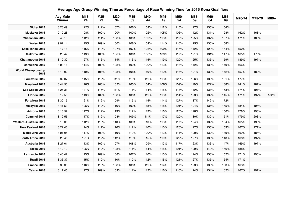#### **Avg Male Winner M18- 24 M25- 29 M30- 34 M35- 39 M40- 44 M45- 49 M50- 54 M55- 59 M60- 64 M65- <sup>69</sup> M70-74 M75-79 M80+ Vichy 2015** 8:23:49 122% 112% 107% 106% 109% 112% 115% 127% 135% 154% **Muskoka 2015** 9:19:28 | 108% | 100% | 100% | 100% | 102% | 105% | 106% | 112% | 131% | 128% | 162% | 168% **Wisconsin 2015** 8:48:13 112% 111% 108% 108% 109% 113% 119% 125% 137% 157% 171% 186% **Wales 2015** 9:02:14 115% 109% 106% 108% 109% 114% 116% 125% 136% 158% **Lake Tahoe 2015** 9:17:18 115% 110% 107% 107% 105% 109% 117% 119% 129% 154% 150% **Mallorca 2015** 8:25:42 113% 106% 106% 106% 108% 109% 117% 121% 131% 147% 165% 176% **Chattanooga 2015** 8:10:32 127% 116% 114% 113% 115% 119% 120% 125% 135% 159% 189% 197% **Barcelona 2015** 8:03:16 114% 109% 108% 109% 109% 113% 116% 119% 133% 149% 166% **World Championship <sup>2015</sup>** 8:19:02 110% 108% 108% 108% 110% 112% 116% 121% 130% 142% 157% 180% **Louisville 2015** 8:32:37 115% 112% 111% 110% 111% 113% 120% 126% 136% 161% 177% **Maryland 2015** 8:44:50 116% 103% 102% 103% 104% 106% 109% 119% 122% 138% 141% 187% **Los Cabos 2015** 8:26:31 131% 116% 111% 111% 114% 115% 118% 119% 138% 153% 174% 191% **Florida 2015** 8:12:58 113% 109% 108% 108% 111% 113% 114% 123% 132% 145% 171% 197% 182% **Fortaleza 2015** 8:30:15 121% 112% 109% 115% 115% 114% 127% 137% 142% 172% **Malaysia 2015** 8:41:53 | 125% | 112% | 116% | 109% | 118% | 118% | 121% | 124% | 136% | 155% | 184% | 194% **Arizona 2015** 8:13:52 117% 112% 113% 112% 113% 116% 120% 128% 140% 156% 178% 198% **Cozumel 2015** 8:12:56 117% 112% 108% 109% 111% 117% 120% 130% 139% 151% 179% 203% **Western Australia 2015** 8:13:36 112% 110% 110% 109% 110% 113% 117% 124% 132% 154% 165% 190% **New Zealand 2016** 8:22:46 114% 111% 110% 112% 110% 115% 120% 127% 135% 153% 167% 177% **Melbourne 2016** 8:01:05 | 117% | 109% | 110% | 110% | 109% | 113% | 114% | 120% | 132% | 149% | 169% | 184% **South Africa 2016** 8:20:46 121% 112% 112% 113% 115% 119% 122% 127% 138% 148% 168% 197% **Australia 2016** 8:27:01 113% 109% 107% 108% 109% 113% 117% 123% 136% 147% 169% 197% **Texas 2016** 8:12:10 125% 112% 108% 111% 114% 115% 129% 140% 156% 188% **Lanzarote 2016** 8:46:42 113% 109% 108% 107% 110% 113% 117% 124% 133% 152% 171% 190% **Brazil 2016** 8:36:37 115% 110% 110% 110% 112% 115% 121% 127% 135% 154% 171% **France 2016** 8:30:38 116% 110% 108% 108% 111% 114% 117% 123% 135% 153% 163% **Cairns 2016** 8:17:45 117% 109% 109% 111% 112% 116% 116% 124% 134% 162% 167% 197%

#### **Average Age Group Winning Time as Percentage of Race Winning Time for 2016 Kona Qualifiers**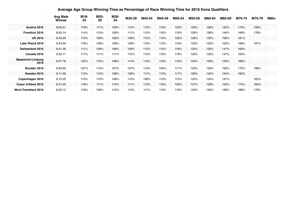|                                   | <b>Avg Male</b><br>Winner | M18-<br>24 | M25-<br>29 | M30-<br>34 | M35-39 | M40-44 | M45-49 | M50-54 | M55-59 | M60-64 | M65-69 | M70-74 | M75-79 | M80+ |
|-----------------------------------|---------------------------|------------|------------|------------|--------|--------|--------|--------|--------|--------|--------|--------|--------|------|
| Austria 2016                      | 8:00:21                   | 116%       | 111%       | 109%       | 110%   | 112%   | 115%   | 120%   | 126%   | 136%   | 152%   | 170%   | 199%   |      |
| <b>Frankfurt 2016</b>             | 8:05:14                   | 114%       | 110%       | 109%       | 111%   | 112%   | 116%   | 119%   | 126%   | 136%   | 144%   | 166%   | 178%   |      |
| <b>UK 2016</b>                    | 8:43:35                   | 115%       | 109%       | 109%       | 109%   | 112%   | 113%   | 122%   | 128%   | 135%   | 158%   | 181%   |        |      |
| <b>Lake Placid 2016</b>           | 8:43:34                   | 116%       | 109%       | 109%       | 109%   | 110%   | 112%   | 119%   | 123%   | 133%   | 152%   | 168%   | 187%   |      |
| Switzerland 2016                  | 8:21:35                   | 111%       | 109%       | 109%       | 109%   | 112%   | 113%   | 118%   | 125%   | 135%   | 147%   | 169%   |        |      |
| Canada 2016                       | 8:33:11                   | 117%       | 111%       | 111%       | 110%   | 112%   | 116%   | 119%   | 125%   | 132%   | 147%   | 165%   |        |      |
| <b>Maastricht-Limburg</b><br>2016 | 8:27:18                   | 122%       | 115%       | 108%       | 114%   | 112%   | 116%   | 118%   | 124%   | 128%   | 155%   | 168%   |        |      |
| Boulder 2016                      | 8:32:53                   | 107%       | 112%       | 107%       | 107%   | 112%   | 105%   | 117%   | 123%   | 126%   | 150%   | 172%   | 198%   |      |
| Sweden 2016                       | 8:11:09                   | 113%       | 110%       | 108%       | 109%   | 111%   | 113%   | 117%   | 126%   | 132%   | 154%   | 182%   |        |      |
| Copenhagen 2016                   | 8:10:25                   | 110%       | 110%       | 108%       | 110%   | 108%   | 113%   | 115%   | 124%   | 134%   | 147%   |        | 165%   |      |
| Coeur d'Alene 2016                | 8:31:02                   | 116%       | 111%       | 110%       | 111%   | 112%   | 116%   | 120%   | 127%   | 138%   | 153%   | 174%   | 184%   |      |
| <b>Mont-Tremblant 2016</b>        | 8:25:12                   | 119%       | 109%       | 110%       | 110%   | 111%   | 113%   | 118%   | 123%   | 132%   | 149%   | 188%   | 176%   |      |

#### **Average Age Group Winning Time as Percentage of Race Winning Time for 2016 Kona Qualifiers**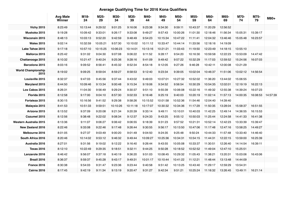# **Average Qualifying Time for 2016 Kona Qualifiers**

|                                   | <b>Avg Male</b><br>Winner | M18-<br>24 | M25-<br>29 | M30-<br>34 | M35-<br>39 | M40-<br>44 | M45-<br>49 | M50-<br>54 | M55-<br>59 | M60-<br>64 | M65-<br>69 | M70-<br>74 | M75-<br>79 | M80+     |
|-----------------------------------|---------------------------|------------|------------|------------|------------|------------|------------|------------|------------|------------|------------|------------|------------|----------|
| <b>Vichy 2015</b>                 | 8:23:49                   | 10:13:44   | 9:29:52    | 9:01:25    | 9:16:06    | 9:23:38    | 9:34:30    | 9:59:11    | 10:43:37   | 11:20:29   | 12:56:52   |            |            |          |
| Muskoka 2015                      | 9:19:28                   | 10:09:42   | 9:33:01    | 9:26:17    | 9:33:08    | 9:49:27    | 9:57:43    | 10:00:26   | 11:01:30   | 12:18:46   | 11:56:34   | 15:05:31   | 15:39:17   |          |
| <b>Wisconsin 2015</b>             | 8:48:13                   | 10:03:13   | 9:52:20    | 9:42:59    | 9:48:49    | 9:54:23    | 10:15:34   | 10:47:22   | 11:11:41   | 12:04:32   | 13:46:46   | 15:05:48   | 16:23:57   |          |
| <b>Wales 2015</b>                 | 9:02:14                   | 10:32:59   | 10:05:21   | 9:57:30    | 10:10:02   | 10:11:12   | 10:33:47   | 10:44:14   | 11:33:56   | 12:18:16   | 14:19:09   |            |            |          |
| Lake Tahoe 2015                   | 9:17:18                   | 10:57:10   | 10:15:25   | 10:06:23   | 10:14:01   | 10:13:16   | 10:21:21   | 11:03:43   | 11:19:50   | 12:23:49   | 14:18:15   | 13:55:10   |            |          |
| Mallorca 2015                     | 8:25:42                   | 9:31:02    | 9:04:30    | 9:07:08    | 9:06:22    | 9:11:52    | 9:28:17    | 9:54:20    | 10:16:30   | 10:59:58   | 12:22:23   | 13:53:09   | 14:47:42   |          |
| Chattanooga 2015                  | 8:10:32                   | 10:21:47   | 9:40:24    | 9:25:36    | 9:28:16    | 9:41:09    | 9:49:42    | 9:57:22    | 10:32:29   | 11:17:03   | 12:59:52   | 15:24:56   | 16:07:03   |          |
| Barcelona 2015                    | 8:03:16                   | 9:09:52    | 8:56:41    | 8:45:32    | 8:52:34    | 8:54:18    | 9:12:05    | 9:27:26    | 9:46:28    | 10:42:11   | 12:00:08   | 13:21:29   |            |          |
| <b>World Championship</b><br>2015 | 8:19:02                   | 9:09:25    | 8:59:04    | 8:59:27    | 8:58:53    | 9:12:40    | 9:23:34    | 9:39:05    | 10:02:04   | 10:46:37   | 11:51:06   | 13:02:12   | 14:56:54   |          |
| Louisville 2015                   | 8:32:37                   | 9:47:03    | 9:45:56    | 9:37:44    | 9:43:02    | 9:49:03    | 10:07:01   | 10:27:32   | 10:52:02   | 11:36:20   | 13:44:02   | 15:06:55   |            |          |
| Maryland 2015                     | 8:44:50                   | 10:09:46   | 9:13:34    | 9:00:48    | 9:15:34    | 9:19:06    | 9:34:52    | 9:56:54    | 10:30:29   | 10:54:35   | 12:02:01   | 12:19:19   | 16:22:13   |          |
| Los Cabos 2015                    | 8:26:31                   | 11:04:30   | 9:56:49    | 9:29:24    | 9:30:37    | 9:51:10    | 9:55:39    | 10:06:08   | 10:22:16   | 11:49:32   | 12:55:38   | 14:39:24   | 16:07:23   |          |
| Florida 2015                      | 8:12:58                   | 9:17:00    | 9:04:10    | 8:57:30    | 9:02:33    | 9:16:48    | 9:25:19    | 9:40:03    | 10:20:19   | 11:02:14   | 11:57:13   | 14:00:35   | 16:08:53   | 14:57:39 |
| Fortaleza 2015                    | 8:30:15                   | 10:16:56   | 9:41:52    | 9:29:38    | 9:58:26    | 10:15:52   | 10:01:58   | 10:52:36   | 11:54:46   | 12:04:40   | 14:39:40   |            |            |          |
| Malaysia 2015                     | 8:41:53                   | 10:51:33   | 9:59:51    | 10:10:26   | 10:11:18   | 10:17:07   | 10:30:32   | 10:34:36   | 11:17:29   | 11:50:35   | 13:28:04   | 15:58:37   | 16:51:55   |          |
| Arizona 2015                      | 8:13:52                   | 9:37:09    | 9:20:08    | 9:21:34    | 9:20:39    | 9:33:14    | 9:49:11    | 10:10:01   | 10:40:03   | 11:42:25   | 12:49:14   | 14:36:55   | 16:15:53   |          |
| Cozumel 2015                      | 8:12:56                   | 9:38:48    | 9:22:02    | 9:08:34    | 9:12:37    | 9:24:33    | 9:43:25    | 9:55:12    | 10:50:03   | 11:25:44   | 12:24:58   | 14:41:33   | 16:41:38   |          |
| Western Australia 2015            | 8:13:36                   | 9:11:07    | 9:06:27    | 9:06:42    | 9:06:55    | 9:18:39    | 9:31:23    | 9:57:52    | 10:21:31   | 10:52:14   | 12:42:23   | 13:33:39   | 15:39:47   |          |
| <b>New Zealand 2016</b>           | 8:22:46                   | 9:33:08    | 9:22:46    | 9:17:48    | 9:26:44    | 9:30:55    | 9:56:17    | 10:13:50   | 10:47:06   | 11:17:48   | 12:47:16   | 13:58:25   | 14:49:27   |          |
| Melbourne 2016                    | 8:01:05                   | 9:27:37    | 9:03:49    | 9:00:20    | 9:01:49    | 9:04:50    | 9:24:35    | 9:25:48    | 9:50:24    | 10:44:33   | 11:57:48   | 13:33:40   | 14:46:40   |          |
| South Africa 2016                 | 8:20:46                   | 10:14:02   | 9:53:12    | 9:46:32    | 9:49:44    | 10:09:27   | 10:25:36   | 10:34:31   | 10:54:15   | 11:44:31   | 12:22:15   | 13:59:00   | 16:25:39   |          |
| Australia 2016                    | 8:27:01                   | 9:31:56    | 9:19:02    | 9:12:22    | 9:16:40    | 9:26:44    | 9:43:55    | 10:05:08   | 10:33:37   | 11:30:51   | 12:26:40   | 14:14:54   | 16:39:11   |          |
| <b>Texas 2016</b>                 | 8:12:10                   | 10:22:49   | 9:29:35    | 9:18:51    | 9:32:11    | 9:44:25    | 9:50:28    | 10:18:52   | 10:52:52   | 11:49:04   | 12:47:10   | 15:25:51   |            |          |
| Lanzarote 2016                    | 8:46:42                   | 9:56:07    | 9:37:18    | 9:40:19    | 9:36:20    | 9:51:03    | 10:08:45   | 10:29:32   | 11:05:43   | 11:38:21   | 13:20:31   | 15:03:06   | 16:43:06   |          |
| Brazil 2016                       | 8:36:37                   | 9:59:37    | 9:45:28    | 9:43:17    | 9:49:31    | 10:01:17   | 10:10:44   | 10:41:22   | 11:12:21   | 11:48:44   | 13:13:48   | 14:44:09   |            |          |
| France 2016                       | 8:30:38                   | 9:54:03    | 9:31:47    | 9:23:36    | 9:23:44    | 9:40:58    | 9:51:42    | 10:13:25   | 10:43:40   | 11:29:17   | 12:59:29   | 13:54:31   |            |          |
| <b>Cairns 2016</b>                | 8:17:45                   | 9:42:19    | 9:11:34    | 9:13:19    | 9:20:47    | 9:31:27    | 9:42:34    | 9:51:21    | 10:25:24   | 11:18:32   | 13:26:45   | 13:49:11   | 16:21:14   |          |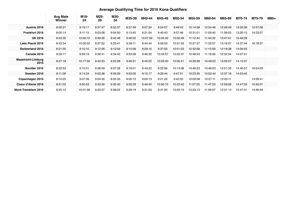# **Average Qualifying Time for 2016 Kona Qualifiers**

|                                   |                    |            |            |            | $\tilde{\phantom{a}}$ |          |          |          |          |          |          |          |          |      |
|-----------------------------------|--------------------|------------|------------|------------|-----------------------|----------|----------|----------|----------|----------|----------|----------|----------|------|
|                                   | Avg Male<br>Winner | M18-<br>24 | M25-<br>29 | M30-<br>34 | M35-39                | M40-44   | M45-49   | M50-54   | M55-59   | M60-64   | M65-69   | M70-74   | M75-79   | M80+ |
| Austria 2016                      | 8:00:21            | 9:19:17    | 8:57:47    | 8:52:37    | 8:57:49               | 9:07:24  | 9:24:57  | 9:46:43  | 10:14:08 | 10:54:46 | 12:08:49 | 13:35:39 | 15:57:08 |      |
| <b>Frankfurt 2016</b>             | 8:05:14            | 9:11:15    | 9:03:08    | 9:04:50    | 9:13:40               | 9:21:54  | 9:40:43  | 9:57:46  | 10:31:01 | 11:09:40 | 11:39:03 | 13:26:15 | 14:23:07 |      |
| <b>UK 2016</b>                    | 8:43:35            | 10:00:10   | 9:49:26    | 9:42:48    | 9:46:02               | 10:07:00 | 10:20:42 | 10:50:49 | 11:12:44 | 11:44:32 | 13:47:01 | 15:48:28 |          |      |
| <b>Lake Placid 2016</b>           | 8:43:34            | 10:05:02   | 9:37:52    | 9:33:41    | 9:39:11               | 9:44:44  | 9:59:53  | 10:31:55 | 10:57:37 | 11:33:57 | 13:18:27 | 14:37:44 | 16:18:37 |      |
| <b>Switzerland 2016</b>           | 8:21:35            | 9:15:10    | 9:12:56    | 9:12:55    | 9:15:08               | 9:29:10  | 9:37:55  | 10:01:03 | 10:32:58 | 11:15:59 | 12:18:38 | 14:06:55 |          |      |
| Canada 2016                       | 8:33:11            | 9:59:19    | 9:36:41    | 9:34:42    | 9:33:08               | 9:46:32  | 10:03:57 | 10:22:37 | 10:48:53 | 11:19:39 | 12:32:04 | 14:07:51 |          |      |
| <b>Maastricht-Limburg</b><br>2016 | 8:27:18            | 10:17:30   | 9:42:53    | 9:22:28    | 9:46:51               | 9:45:22  | 10:03:40 | 10:05:41 | 10:39:38 | 10:49:02 | 13:05:57 | 14:13:37 |          |      |
| Boulder 2016                      | 8:32:53            | 9:10:51    | 9:36:59    | 9:37:28    | 9:16:01               | 9:43:22  | 9:22:56  | 10:14:08 | 10:46:33 | 10:46:03 | 12:51:35 | 14:40:57 | 16:54:03 |      |
| Sweden 2016                       | 8:11:09            | 9:14:24    | 9:03:38    | 8:59:29    | 9:03:05               | 9:15:17  | 9:29:44  | 9:47:51  | 10:23:35 | 10:50:44 | 12:37:16 | 14:53:45 |          |      |
| Copenhagen 2016                   | 8:10:25            | 9:07:39    | 9:04:30    | 8:55:33    | 9:05:12               | 9:00:13  | 9:21:22  | 9:42:32  | 10:09:58 | 10:57:11 | 12:03:11 |          | 13:29:41 |      |
| Coeur d'Alene 2016                | 8:31:02            | 9:50:53    | 9:33:30    | 9:30:40    | 9:35:29               | 9:46:40  | 10:00:15 | 10:23:42 | 11:07:25 | 11:47:23 | 12:59:26 | 14:47:05 | 15:42:01 |      |
| <b>Mont-Tremblant 2016</b>        | 8:25:12            | 10:01:58   | 9:20:37    | 9:28:05    | 9:28:19               | 9:31:03  | 9:41:20  | 10:03:15 | 10:23:13 | 11:09:07 | 12:31:13 | 15:47:31 | 14:46:49 |      |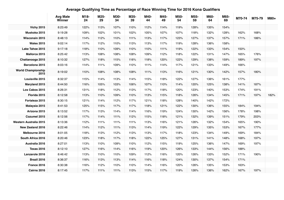#### **Average Qualifying Time as Percentage of Race Winning Time for 2016 Kona Qualifiers**

|                                   | <b>Avg Male</b><br>Winner | M18-<br>24 | M25-<br>29 | M30-<br>34 | M35-<br>39 | M40-<br>44 | M45-<br>49 | M50-<br>54 | M55-<br>59 | M60-<br>64 | M65-<br>69 | M70-74 | M75-79 | M80+ |
|-----------------------------------|---------------------------|------------|------------|------------|------------|------------|------------|------------|------------|------------|------------|--------|--------|------|
| <b>Vichy 2015</b>                 | 8:23:49                   | 122%       | 113%       | 107%       | 110%       | 112%       | 114%       | 119%       | 128%       | 135%       | 154%       |        |        |      |
| Muskoka 2015                      | 9:19:28                   | 109%       | 102%       | 101%       | 102%       | 105%       | 107%       | 107%       | 118%       | 132%       | 128%       | 162%   | 168%   |      |
| Wisconsin 2015                    | 8:48:13                   | 114%       | 112%       | 110%       | 111%       | 113%       | 117%       | 123%       | 127%       | 137%       | 157%       | 171%   | 186%   |      |
| <b>Wales 2015</b>                 | 9:02:14                   | 117%       | 112%       | 110%       | 113%       | 113%       | 117%       | 119%       | 128%       | 136%       | 158%       |        |        |      |
| Lake Tahoe 2015                   | 9:17:18                   | 118%       | 110%       | 109%       | 110%       | 110%       | 111%       | 119%       | 122%       | 133%       | 154%       | 150%   |        |      |
| Mallorca 2015                     | 8:25:42                   | 113%       | 108%       | 108%       | 108%       | 109%       | 112%       | 118%       | 122%       | 131%       | 147%       | 165%   | 176%   |      |
| Chattanooga 2015                  | 8:10:32                   | 127%       | 118%       | 115%       | 116%       | 118%       | 120%       | 122%       | 129%       | 138%       | 159%       | 189%   | 197%   |      |
| Barcelona 2015                    | 8:03:16                   | 114%       | 111%       | 109%       | 110%       | 111%       | 114%       | 117%       | 121%       | 133%       | 149%       | 166%   |        |      |
| <b>World Championship</b><br>2015 | 8:19:02                   | 110%       | 108%       | 108%       | 108%       | 111%       | 113%       | 116%       | 121%       | 130%       | 142%       | 157%   | 180%   |      |
| Louisville 2015                   | 8:32:37                   | 115%       | 114%       | 113%       | 114%       | 115%       | 118%       | 122%       | 127%       | 136%       | 161%       | 177%   |        |      |
| Maryland 2015                     | 8:44:50                   | 116%       | 105%       | 103%       | 106%       | 107%       | 110%       | 114%       | 120%       | 125%       | 138%       | 141%   | 187%   |      |
| Los Cabos 2015                    | 8:26:31                   | 131%       | 118%       | 112%       | 113%       | 117%       | 118%       | 120%       | 123%       | 140%       | 153%       | 174%   | 191%   |      |
| Florida 2015                      | 8:12:58                   | 113%       | 110%       | 109%       | 110%       | 113%       | 115%       | 118%       | 126%       | 134%       | 145%       | 171%   | 197%   | 182% |
| Fortaleza 2015                    | 8:30:15                   | 121%       | 114%       | 112%       | 117%       | 121%       | 118%       | 128%       | 140%       | 142%       | 172%       |        |        |      |
| Malaysia 2015                     | 8:41:53                   | 125%       | 115%       | 117%       | 117%       | 118%       | 121%       | 122%       | 130%       | 136%       | 155%       | 184%   | 194%   |      |
| Arizona 2015                      | 8:13:52                   | 117%       | 113%       | 114%       | 114%       | 116%       | 119%       | 124%       | 130%       | 142%       | 156%       | 178%   | 198%   |      |
| Cozumel 2015                      | 8:12:56                   | 117%       | 114%       | 111%       | 112%       | 115%       | 118%       | 121%       | 132%       | 139%       | 151%       | 179%   | 203%   |      |
| Western Australia 2015            | 8:13:36                   | 112%       | 111%       | 111%       | 111%       | 113%       | 116%       | 121%       | 126%       | 132%       | 154%       | 165%   | 190%   |      |
| <b>New Zealand 2016</b>           | 8:22:46                   | 114%       | 112%       | 111%       | 113%       | 114%       | 119%       | 122%       | 129%       | 135%       | 153%       | 167%   | 177%   |      |
| Melbourne 2016                    | 8:01:05                   | 118%       | 113%       | 112%       | 113%       | 113%       | 117%       | 118%       | 123%       | 134%       | 149%       | 169%   | 184%   |      |
| South Africa 2016                 | 8:20:46                   | 123%       | 118%       | 117%       | 118%       | 122%       | 125%       | 127%       | 131%       | 141%       | 148%       | 168%   | 197%   |      |
| Australia 2016                    | 8:27:01                   | 113%       | 110%       | 109%       | 110%       | 112%       | 115%       | 119%       | 125%       | 136%       | 147%       | 169%   | 197%   |      |
| <b>Texas 2016</b>                 | 8:12:10                   | 127%       | 116%       | 114%       | 116%       | 119%       | 120%       | 126%       | 133%       | 144%       | 156%       | 188%   |        |      |
| Lanzarote 2016                    | 8:46:42                   | 113%       | 110%       | 110%       | 109%       | 112%       | 116%       | 120%       | 126%       | 133%       | 152%       | 171%   | 190%   |      |
| Brazil 2016                       | 8:36:37                   | 116%       | 113%       | 113%       | 114%       | 116%       | 118%       | 124%       | 130%       | 137%       | 154%       | 171%   |        |      |
| France 2016                       | 8:30:38                   | 116%       | 112%       | 110%       | 110%       | 114%       | 116%       | 120%       | 126%       | 135%       | 153%       | 163%   |        |      |
| <b>Cairns 2016</b>                | 8:17:45                   | 117%       | 111%       | 111%       | 113%       | 115%       | 117%       | 119%       | 126%       | 136%       | 162%       | 167%   | 197%   |      |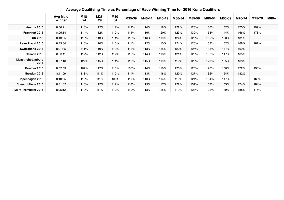# **Average Qualifying Time as Percentage of Race Winning Time for 2016 Kona Qualifiers**

|                                   |                           | $\tilde{\phantom{a}}$ | $\tilde{\phantom{a}}$ |            |        |        |        |        |        |        |        |        |        |      |
|-----------------------------------|---------------------------|-----------------------|-----------------------|------------|--------|--------|--------|--------|--------|--------|--------|--------|--------|------|
|                                   | <b>Avg Male</b><br>Winner | M18-<br>24            | M25-<br>29            | M30-<br>34 | M35-39 | M40-44 | M45-49 | M50-54 | M55-59 | M60-64 | M65-69 | M70-74 | M75-79 | M80+ |
| Austria 2016                      | 8:00:21                   | 116%                  | 112%                  | 111%       | 112%   | 114%   | 118%   | 122%   | 128%   | 136%   | 152%   | 170%   | 199%   |      |
| Frankfurt 2016                    | 8:05:14                   | 114%                  | 112%                  | 112%       | 114%   | 116%   | 120%   | 123%   | 130%   | 138%   | 144%   | 166%   | 178%   |      |
| <b>UK 2016</b>                    | 8:43:35                   | 115%                  | 113%                  | 111%       | 112%   | 116%   | 119%   | 124%   | 128%   | 135%   | 158%   | 181%   |        |      |
| <b>Lake Placid 2016</b>           | 8:43:34                   | 116%                  | 110%                  | 110%       | 111%   | 112%   | 115%   | 121%   | 126%   | 133%   | 152%   | 168%   | 187%   |      |
| <b>Switzerland 2016</b>           | 8:21:35                   | 111%                  | 110%                  | 110%       | 111%   | 113%   | 115%   | 120%   | 126%   | 135%   | 147%   | 169%   |        |      |
| Canada 2016                       | 8:33:11                   | 117%                  | 112%                  | 112%       | 112%   | 114%   | 118%   | 121%   | 126%   | 132%   | 147%   | 165%   |        |      |
| <b>Maastricht-Limburg</b><br>2016 | 8:27:18                   | 122%                  | 115%                  | 111%       | 116%   | 115%   | 119%   | 119%   | 126%   | 128%   | 155%   | 168%   |        |      |
| Boulder 2016                      | 8:32:53                   | 107%                  | 112%                  | 113%       | 108%   | 114%   | 110%   | 120%   | 126%   | 126%   | 150%   | 172%   | 198%   |      |
| Sweden 2016                       | 8:11:09                   | 113%                  | 111%                  | 110%       | 111%   | 113%   | 116%   | 120%   | 127%   | 132%   | 154%   | 182%   |        |      |
| Copenhagen 2016                   | 8:10:25                   | 112%                  | 111%                  | 109%       | 111%   | 110%   | 114%   | 119%   | 124%   | 134%   | 147%   |        | 165%   |      |
| Coeur d'Alene 2016                | 8:31:02                   | 116%                  | 112%                  | 112%       | 113%   | 115%   | 117%   | 122%   | 131%   | 138%   | 153%   | 174%   | 184%   |      |
| <b>Mont-Tremblant 2016</b>        | 8:25:12                   | 119%                  | 111%                  | 112%       | 112%   | 113%   | 115%   | 119%   | 123%   | 132%   | 149%   | 188%   | 176%   |      |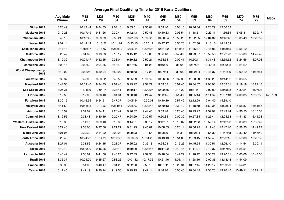#### **Average Final Qualifying Time for 2016 Kona Qualifiers**

|                                   | <b>Avg Male</b><br>Winner | M18-<br>24 | M25-<br>29 | M30-<br>34 | M35-<br>39 | M40-<br>44 | M45-<br>49 | M50-<br>54 | M55-<br>59 | M60-<br>64 | M65-<br>69 | M70-<br>74 | M75-<br>79 | M80+     |
|-----------------------------------|---------------------------|------------|------------|------------|------------|------------|------------|------------|------------|------------|------------|------------|------------|----------|
| <b>Vichy 2015</b>                 | 8:23:49                   | 10:13:44   | 9:34:53    | 9:04:16    | 9:33:51    | 9:35:01    | 9:53:40    | 10:08:10   | 10:46:34   | 11:20:29   | 12:56:52   |            |            |          |
| Muskoka 2015                      | 9:19:28                   | 10:17:49   | 9:41:26    | 9:30:44    | 9:42:43    | 9:59:48    | 10:10:33   | 10:06:54   | 11:18:51   | 12:23:11   | 11:56:34   | 15:05:31   | 15:39:17   |          |
| Wisconsin 2015                    | 8:48:13                   | 10:12:45   | 9:59:39    | 9:53:21    | 10:01:03   | 10:09:25   | 10:30:54   | 10:59:23   | 11:22:55   | 12:04:32   | 13:46:46   | 15:05:48   | 16:23:57   |          |
| <b>Wales 2015</b>                 | 9:02:14                   | 10:44:14   | 10:18:26   | 10:11:14   | 10:23:15   | 10:25:17   | 10:47:17   | 10:56:20   | 11:52:36   | 12:18:16   | 14:19:09   |            |            |          |
| Lake Tahoe 2015                   | 9:17:18                   | 11:12:37   | 10:18:07   | 10:18:30   | 10:26:14   | 10:26:28   | 10:31:02   | 11:11:15   | 11:36:37   | 12:46:06   | 14:18:15   | 13:55:10   |            |          |
| Mallorca 2015                     | 8:25:42                   | 9:31:02    | 9:13:23    | 9:15:17    | 9:15:12    | 9:19:05    | 9:36:48    | 9:57:49    | 10:23:37   | 10:59:58   | 12:22:23   | 13:53:09   | 14:47:42   |          |
| Chattanooga 2015                  | 8:10:32                   | 10:21:47   | 9:52:55    | 9:33:04    | 9:39:32    | 9:50:21    | 9:54:54    | 10:02:41   | 10:50:11   | 11:31:48   | 12:59:52   | 15:24:56   | 16:07:03   |          |
| Barcelona 2015                    | 8:03:16                   | 9:09:52    | 9:04:35    | 8:48:40    | 8:57:56    | 9:01:28    | 9:19:00    | 9:35:04    | 9:57:26    | 10:42:11   | 12:00:08   | 13:21:29   |            |          |
| <b>World Championship</b><br>2015 | 8:19:02                   | 9:09:25    | 8:59:04    | 8:59:27    | 8:58:53    | 9:17:28    | 9:27:54    | 9:39:05    | 10:02:04   | 10:46:37   | 11:51:06   | 13:02:12   | 14:56:54   |          |
| Louisville 2015                   | 8:32:37                   | 9:47:03    | 9:53:22    | 9:45:59    | 9:55:29    | 10:02:49   | 10:26:06   | 10:37:36   | 11:00:28   | 11:36:20   | 13:44:02   | 15:06:55   |            |          |
| Maryland 2015                     | 8:44:50                   | 10:09:46   | 9:24:35    | 9:07:40    | 9:25:22    | 9:31:27    | 9:53:05    | 10:07:45   | 10:34:07   | 11:08:03   | 12:02:01   | 12:19:19   | 16:22:13   |          |
| Los Cabos 2015                    | 8:26:31                   | 11:04:30   | 10:04:14   | 9:38:41    | 9:39:17    | 10:02:07   | 10:09:46   | 10:14:22   | 10:41:51   | 12:02:09   | 12:55:38   | 14:39:24   | 16:07:23   |          |
| Florida 2015                      | 8:12:58                   | 9:17:00    | 9:08:40    | 9:04:31    | 9:08:48    | 9:24:47    | 9:33:45    | 9:51:43    | 10:35:14   | 11:11:37   | 11:57:13   | 14:00:35   | 16:08:53   | 14:57:39 |
| Fortaleza 2015                    | 8:30:15                   | 10:16:56   | 9:54:51    | 9:47:37    | 10:05:54   | 10:30:01   | 10:10:19   | 10:57:42   | 12:12:29   | 12:04:40   | 14:39:40   |            |            |          |
| Malaysia 2015                     | 8:41:53                   | 10:51:33   | 10:13:53   | 10:14:54   | 10:25:07   | 10:22:48   | 10:59:13   | 10:39:12   | 11:48:50   | 11:50:35   | 13:28:04   | 15:58:37   | 16:51:55   |          |
| Arizona 2015                      | 8:13:52                   | 9:37:09    | 9:24:41    | 9:26:47    | 9:26:32    | 9:44:43    | 9:59:48    | 10:23:43   | 10:49:22   | 11:52:01   | 12:49:14   | 14:36:55   | 16:15:53   |          |
| Cozumel 2015                      | 8:12:56                   | 9:38:48    | 9:30:19    | 9:20:47    | 9:24:29    | 9:39:57    | 9:50:34    | 10:00:32   | 10:57:34   | 11:25:44   | 12:24:58   | 14:41:33   | 16:41:38   |          |
| <b>Western Australia 2015</b>     | 8:13:36                   | 9:11:07    | 9:09:48    | 9:12:39    | 9:14:31    | 9:30:17    | 9:42:57    | 10:15:07   | 10:32:58   | 10:52:14   | 12:42:23   | 13:33:39   | 15:39:47   |          |
| <b>New Zealand 2016</b>           | 8:22:46                   | 9:33:08    | 9:27:06    | 9:21:27    | 9:31:23    | 9:45:07    | 10:08:03   | 10:26:14   | 10:56:25   | 11:17:48   | 12:47:16   | 13:58:25   | 14:49:27   |          |
| Melbourne 2016                    | 8:01:05                   | 9:32:30    | 9:14:22    | 9:09:24    | 9:09:23    | 9:19:54    | 9:33:29    | 9:45:31    | 10:02:34   | 10:54:30   | 11:57:48   | 13:33:40   | 14:46:40   |          |
| South Africa 2016                 | 8:20:46                   | 10:24:22   | 10:14:29   | 10:03:23   | 10:10:53   | 10:31:28   | 10:43:43   | 10:51:06   | 11:09:45   | 11:59:48   | 12:22:15   | 13:59:00   | 16:25:39   |          |
| Australia 2016                    | 8:27:01                   | 9:31:56    | 9:24:15    | 9:21:37    | 9:25:02    | 9:35:13    | 9:54:08    | 10:15:26   | 10:45:54   | 11:30:51   | 12:26:40   | 14:14:54   | 16:39:11   |          |
| <b>Texas 2016</b>                 | 8:12:10                   | 10:30:00   | 9:46:26    | 9:38:13    | 9:49:00    | 10:03:47   | 10:11:20   | 10:40:44   | 11:14:27   | 12:10:37   | 12:47:10   | 15:25:51   |            |          |
| Lanzarote 2016                    | 8:46:42                   | 9:56:07    | 9:41:56    | 9:46:25    | 9:47:33    | 9:59:33    | 10:18:54   | 10:41:29   | 11:16:42   | 11:38:21   | 13:20:31   | 15:03:06   | 16:43:06   |          |
| Brazil 2016                       | 8:36:37                   | 10:04:00   | 9:55:27    | 9:53:26    | 10:01:42   | 10:17:35   | 10:21:46   | 11:01:14   | 11:28:16   | 12:00:36   | 13:13:48   | 14:44:09   |            |          |
| France 2016                       | 8:30:38                   | 9:54:03    | 9:40:47    | 9:31:25    | 9:32:20    | 9:53:18    | 10:01:11   | 10:26:34   | 10:57:45   | 11:29:17   | 12:59:29   | 13:54:31   |            |          |
| <b>Cairns 2016</b>                | 8:17:45                   | 9:42:19    | 9:20:24    | 9:19:50    | 9:29:15    | 9:42:14    | 9:48:16    | 10:00:40   | 10:34:45   | 11:30:26   | 13:26:45   | 13:49:11   | 16:21:14   |          |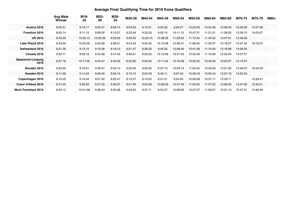# **Average Final Qualifying Time for 2016 Kona Qualifiers**

|                                   | <b>Avg Male</b><br>Winner | M18-<br>24 | M25-<br>29 | M30-<br>34 | M35-39  | M40-44   | M45-49   | M50-54   | M55-59   | M60-64   | M65-69   | M70-74   | M75-79   | M80+ |
|-----------------------------------|---------------------------|------------|------------|------------|---------|----------|----------|----------|----------|----------|----------|----------|----------|------|
| Austria 2016                      | 8:00:21                   | 9:19:17    | 9:02:37    | 8:59:14    | 9:04:53 | 9:16:31  | 9:32:55  | 9:54:27  | 10:23:55 | 10:54:46 | 12:08:49 | 13:35:39 | 15:57:08 |      |
| <b>Frankfurt 2016</b>             | 8:05:14                   | 9:11:15    | 9:09:55    | 9:13:27    | 9:22:49 | 9:32:53  | 9:52:14  | 10:11:12 | 10:47:21 | 11:21:21 | 11:39:03 | 13:26:15 | 14:23:07 |      |
| <b>UK 2016</b>                    | 8:43:35                   | 10:00:10   | 10:02:39   | 9:53:05    | 9:55:53 | 10:20:10 | 10:38:35 | 11:02:34 | 11:12:44 | 11:44:32 | 13:47:01 | 15:48:28 |          |      |
| Lake Placid 2016                  | 8:43:34                   | 10:05:02   | 9:43:36    | 9:38:51    | 9:44:23 | 9:52:26  | 10:10:48 | 10:39:41 | 11:08:45 | 11:33:57 | 13:18:27 | 14:37:44 | 16:18:37 |      |
| Switzerland 2016                  | 8:21:35                   | 9:15:10    | 9:19:36    | 9:18:10    | 9:21:47 | 9:36:33  | 9:45:35  | 10:09:40 | 10:41:09 | 11:15:59 | 12:18:38 | 14:06:55 |          |      |
| Canada 2016                       | 8:33:11                   | 9:59:19    | 9:42:58    | 9:41:54    | 9:40:51 | 9:54:52  | 10:12:06 | 10:31:53 | 10:55:49 | 11:19:39 | 12:32:04 | 14:07:51 |          |      |
| <b>Maastricht-Limburg</b><br>2016 | 8:27:18                   | 10:17:30   | 9:44:27    | 9:33:59    | 9:52:30 | 9:54:22  | 10:11:04 | 10:16:36 | 10:50:22 | 10:49:02 | 13:05:57 | 14:13:37 |          |      |
| Boulder 2016                      | 8:32:53                   | 9:10:51    | 9:40:57    | 9:53:12    | 9:22:59 | 9:52:30  | 9:37:15  | 10:24:13 | 11:02:44 | 10:46:03 | 12:51:35 | 14:40:57 | 16:54:03 |      |
| Sweden 2016                       | 8:11:09                   | 9:14:24    | 9:06:45    | 9:05:15    | 9:12:10 | 9:24:43  | 9:40:11  | 9:57:40  | 10:28:18 | 10:50:44 | 12:37:16 | 14:53:45 |          |      |
| Copenhagen 2016                   | 8:10:25                   | 9:16:44    | 9:07:42    | 9:02:47    | 9:12:07 | 9:10:52  | 9:31:21  | 9:53:40  | 10:09:58 | 10:57:11 | 12:03:11 |          | 13:29:41 |      |
| Coeur d'Alene 2016                | 8:31:02                   | 9:50:53    | 9:37:25    | 9:36:37    | 9:41:29 | 9:55:09  | 10:08:32 | 10:31:46 | 11:24:22 | 11:47:23 | 12:59:26 | 14:47:05 | 15:42:01 |      |
| <b>Mont-Tremblant 2016</b>        | 8:25:12                   | 10:01:58   | 9:28:43    | 9:35:38    | 9:34:53 | 9:37:11  | 9:54:37  | 10:09:06 | 10:27:07 | 11:09:07 | 12:31:13 | 15:47:31 | 14:46:49 |      |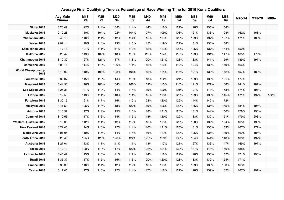#### **Average Final Qualifying Time as Percentage of Race Winning Time for 2016 Kona Qualifiers**

|                                   | <b>Avg Male</b><br>Winner | M18-<br>24 | M25-<br>29 | M30-<br>34 | M35-<br>39 | M40-<br>44 | M45-<br>49 | M50-<br>54 | M55-<br>59 | M60-<br>64 | M65-<br>69 | M70-74 | M75-79 | M80+ |
|-----------------------------------|---------------------------|------------|------------|------------|------------|------------|------------|------------|------------|------------|------------|--------|--------|------|
| <b>Vichy 2015</b>                 | 8:23:49                   | 122%       | 114%       | 108%       | 114%       | 114%       | 118%       | 121%       | 128%       | 135%       | 154%       |        |        |      |
| Muskoka 2015                      | 9:19:28                   | 110%       | 104%       | 102%       | 104%       | 107%       | 109%       | 108%       | 121%       | 133%       | 128%       | 162%   | 168%   |      |
| Wisconsin 2015                    | 8:48:13                   | 116%       | 114%       | 112%       | 114%       | 115%       | 119%       | 125%       | 129%       | 137%       | 157%       | 171%   | 186%   |      |
| <b>Wales 2015</b>                 | 9:02:14                   | 119%       | 114%       | 113%       | 115%       | 115%       | 119%       | 121%       | 131%       | 136%       | 158%       |        |        |      |
| Lake Tahoe 2015                   | 9:17:18                   | 121%       | 111%       | 111%       | 112%       | 112%       | 113%       | 120%       | 125%       | 137%       | 154%       | 150%   |        |      |
| Mallorca 2015                     | 8:25:42                   | 113%       | 109%       | 110%       | 110%       | 111%       | 114%       | 118%       | 123%       | 131%       | 147%       | 165%   | 176%   |      |
| Chattanooga 2015                  | 8:10:32                   | 127%       | 121%       | 117%       | 118%       | 120%       | 121%       | 123%       | 133%       | 141%       | 159%       | 189%   | 197%   |      |
| Barcelona 2015                    | 8:03:16                   | 114%       | 113%       | 109%       | 111%       | 112%       | 116%       | 119%       | 124%       | 133%       | 149%       | 166%   |        |      |
| <b>World Championship</b><br>2015 | 8:19:02                   | 110%       | 108%       | 108%       | 108%       | 112%       | 114%       | 116%       | 121%       | 130%       | 142%       | 157%   | 180%   |      |
| Louisville 2015                   | 8:32:37                   | 115%       | 116%       | 114%       | 116%       | 118%       | 122%       | 124%       | 129%       | 136%       | 161%       | 177%   |        |      |
| Maryland 2015                     | 8:44:50                   | 116%       | 108%       | 104%       | 108%       | 109%       | 113%       | 116%       | 121%       | 127%       | 138%       | 141%   | 187%   |      |
| Los Cabos 2015                    | 8:26:31                   | 131%       | 119%       | 114%       | 114%       | 119%       | 120%       | 121%       | 127%       | 143%       | 153%       | 174%   | 191%   |      |
| Florida 2015                      | 8:12:58                   | 113%       | 111%       | 110%       | 111%       | 115%       | 116%       | 120%       | 129%       | 136%       | 145%       | 171%   | 197%   | 182% |
| Fortaleza 2015                    | 8:30:15                   | 121%       | 117%       | 115%       | 119%       | 123%       | 120%       | 129%       | 144%       | 142%       | 172%       |        |        |      |
| Malaysia 2015                     | 8:41:53                   | 125%       | 118%       | 118%       | 120%       | 119%       | 126%       | 122%       | 136%       | 136%       | 155%       | 184%   | 194%   |      |
| Arizona 2015                      | 8:13:52                   | 117%       | 114%       | 115%       | 115%       | 118%       | 121%       | 126%       | 131%       | 144%       | 156%       | 178%   | 198%   |      |
| Cozumel 2015                      | 8:12:56                   | 117%       | 116%       | 114%       | 115%       | 118%       | 120%       | 122%       | 133%       | 139%       | 151%       | 179%   | 203%   |      |
| <b>Western Australia 2015</b>     | 8:13:36                   | 112%       | 111%       | 112%       | 112%       | 116%       | 118%       | 125%       | 128%       | 132%       | 154%       | 165%   | 190%   |      |
| <b>New Zealand 2016</b>           | 8:22:46                   | 114%       | 113%       | 112%       | 114%       | 116%       | 121%       | 125%       | 131%       | 135%       | 153%       | 167%   | 177%   |      |
| Melbourne 2016                    | 8:01:05                   | 119%       | 115%       | 114%       | 114%       | 116%       | 119%       | 122%       | 125%       | 136%       | 149%       | 169%   | 184%   |      |
| South Africa 2016                 | 8:20:46                   | 125%       | 123%       | 120%       | 122%       | 126%       | 129%       | 130%       | 134%       | 144%       | 148%       | 168%   | 197%   |      |
| Australia 2016                    | 8:27:01                   | 113%       | 111%       | 111%       | 111%       | 113%       | 117%       | 121%       | 127%       | 136%       | 147%       | 169%   | 197%   |      |
| <b>Texas 2016</b>                 | 8:12:10                   | 128%       | 119%       | 117%       | 120%       | 123%       | 124%       | 130%       | 137%       | 148%       | 156%       | 188%   |        |      |
| Lanzarote 2016                    | 8:46:42                   | 113%       | 110%       | 111%       | 112%       | 114%       | 118%       | 122%       | 128%       | 133%       | 152%       | 171%   | 190%   |      |
| Brazil 2016                       | 8:36:37                   | 117%       | 115%       | 115%       | 116%       | 120%       | 120%       | 128%       | 133%       | 139%       | 154%       | 171%   |        |      |
| France 2016                       | 8:30:38                   | 116%       | 114%       | 112%       | 112%       | 116%       | 118%       | 123%       | 129%       | 135%       | 153%       | 163%   |        |      |
| <b>Cairns 2016</b>                | 8:17:45                   | 117%       | 113%       | 112%       | 114%       | 117%       | 118%       | 121%       | 128%       | 139%       | 162%       | 167%   | 197%   |      |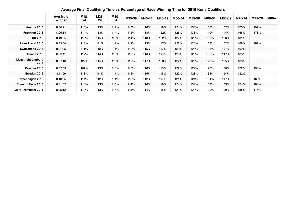#### **Average Final Qualifying Time as Percentage of Race Winning Time for 2016 Kona Qualifiers**

|                                   | <b>Avg Male</b><br>Winner | M18-<br>24 | M25-<br>29 | M30-<br>34 | M35-39 | M40-44 | M45-49 | M50-54 | M55-59 | M60-64 | M65-69 | M70-74 | M75-79 | M80+ |
|-----------------------------------|---------------------------|------------|------------|------------|--------|--------|--------|--------|--------|--------|--------|--------|--------|------|
| Austria 2016                      | 8:00:21                   | 116%       | 113%       | 112%       | 113%   | 116%   | 119%   | 124%   | 130%   | 136%   | 152%   | 170%   | 199%   |      |
| <b>Frankfurt 2016</b>             | 8:05:14                   | 114%       | 113%       | 114%       | 116%   | 118%   | 122%   | 126%   | 133%   | 140%   | 144%   | 166%   | 178%   |      |
| <b>UK 2016</b>                    | 8:43:35                   | 115%       | 115%       | 113%       | 114%   | 118%   | 122%   | 127%   | 128%   | 135%   | 158%   | 181%   |        |      |
| Lake Placid 2016                  | 8:43:34                   | 116%       | 111%       | 111%       | 112%   | 113%   | 117%   | 122%   | 128%   | 133%   | 152%   | 168%   | 187%   |      |
| Switzerland 2016                  | 8:21:35                   | 111%       | 112%       | 111%       | 112%   | 115%   | 117%   | 122%   | 128%   | 135%   | 147%   | 169%   |        |      |
| Canada 2016                       | 8:33:11                   | 117%       | 114%       | 113%       | 113%   | 116%   | 119%   | 123%   | 128%   | 132%   | 147%   | 165%   |        |      |
| <b>Maastricht-Limburg</b><br>2016 | 8:27:18                   | 122%       | 115%       | 113%       | 117%   | 117%   | 120%   | 122%   | 128%   | 128%   | 155%   | 168%   |        |      |
| Boulder 2016                      | 8:32:53                   | 107%       | 113%       | 116%       | 110%   | 116%   | 113%   | 122%   | 129%   | 126%   | 150%   | 172%   | 198%   |      |
| Sweden 2016                       | 8:11:09                   | 113%       | 111%       | 111%       | 112%   | 115%   | 118%   | 122%   | 128%   | 132%   | 154%   | 182%   |        |      |
| Copenhagen 2016                   | 8:10:25                   | 114%       | 112%       | 111%       | 113%   | 112%   | 117%   | 121%   | 124%   | 134%   | 147%   |        | 165%   |      |
| Coeur d'Alene 2016                | 8:31:02                   | 116%       | 113%       | 113%       | 114%   | 116%   | 119%   | 124%   | 134%   | 138%   | 153%   | 174%   | 184%   |      |
| <b>Mont-Tremblant 2016</b>        | 8:25:12                   | 119%       | 113%       | 114%       | 114%   | 114%   | 118%   | 121%   | 124%   | 132%   | 149%   | 188%   | 176%   |      |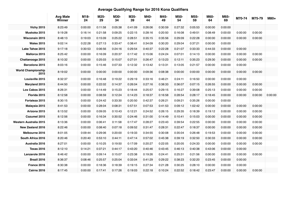# **Average Qualifying Range for 2016 Kona Qualifiers**

|                                   | <b>Avg Male</b><br>Winner | M18-<br>24 | M25-<br>29 | M30-<br>34 | M35-<br>39 | M40-<br>44 | M45-<br>49 | M50-<br>54 | M55-<br>59 | M60-<br>64 | M65-<br>69 | M70-74  | M75-79  | M80+    |
|-----------------------------------|---------------------------|------------|------------|------------|------------|------------|------------|------------|------------|------------|------------|---------|---------|---------|
| <b>Vichy 2015</b>                 | 8:23:49                   | 0:00:00    | 0:11:58    | 0:05:38    | 0:41:09    | 0:26:06    | 0:30:59    | 0:27:32    | 0:05:53    | 0:00:00    | 0:00:00    |         |         |         |
| Muskoka 2015                      | 9:19:28                   | 0:16:14    | 0:21:58    | 0:09:25    | 0:22:15    | 0:28:16    | 0:20:50    | 0:16:08    | 0:49:51    | 0:08:49    | 0:00:00    | 0:00:00 | 0:00:00 |         |
| <b>Wisconsin 2015</b>             | 8:48:13                   | 0:19:03    | 0:15:09    | 0:25:22    | 0:28:51    | 0:35:15    | 0:35:56    | 0:29:09    | 0:22:28    | 0:00:00    | 0:00:00    | 0:00:00 | 0:00:00 |         |
| <b>Wales 2015</b>                 | 9:02:14                   | 0:22:28    | 0:27:13    | 0:33:47    | 0:38:41    | 0:34:09    | 0:30:20    | 0:29:04    | 0:37:21    | 0:00:00    | 0:00:00    |         |         |         |
| Lake Tahoe 2015                   | 9:17:18                   | 0:30:53    | 0:06:56    | 0:24:16    | 0:29:54    | 0:40:37    | 0:22:28    | 0:21:07    | 0:33:33    | 0:44:33    | 0:00:00    | 0:00:00 |         |         |
| Mallorca 2015                     | 8:25:42                   | 0:00:00    | 0:16:09    | 0:20:37    | 0:17:42    | 0:15:06    | 0:24:24    | 0:07:01    | 0:14:13    | 0:00:00    | 0:00:00    | 0:00:00 | 0:00:00 |         |
| Chattanooga 2015                  | 8:10:32                   | 0:00:00    | 0:25:03    | 0:15:07    | 0:27:01    | 0:26:47    | 0:13:23    | 0:12:11    | 0:35:23    | 0:29:30    | 0:00:00    | 0:00:00 | 0:00:00 |         |
| Barcelona 2015                    | 8:03:16                   | 0:00:00    | 0:15:46    | 0:07:33    | 0:12:32    | 0:13:42    | 0:13:31    | 0:13:05    | 0:21:57    | 0:00:00    | 0:00:00    | 0:00:00 |         |         |
| <b>World Championship</b><br>2015 | 8:19:02                   | 0:00:00    | 0:00:00    | 0:00:00    | 0:00:00    | 0:09:36    | 0:08:38    | 0:00:00    | 0:00:00    | 0:00:00    | 0:00:00    | 0:00:00 | 0:00:00 |         |
| Louisville 2015                   | 8:32:37                   | 0:00:00    | 0:16:48    | 0:19:22    | 0:29:19    | 0:33:16    | 0:46:21    | 0:24:11    | 0:16:50    | 0:00:00    | 0:00:00    | 0:00:00 |         |         |
| Maryland 2015                     | 8:44:50                   | 0:00:00    | 0:22:02    | 0:14:37    | 0:26:04    | 0:27:16    | 0:38:33    | 0:36:07    | 0:07:15    | 0:26:55    | 0:00:00    | 0:00:00 | 0:00:00 |         |
| Los Cabos 2015                    | 8:26:31                   | 0:00:00    | 0:14:49    | 0:15:23    | 0:18:44    | 0:25:57    | 0:29:15    | 0:16:27    | 0:39:08    | 0:25:13    | 0:00:00    | 0:00:00 | 0:00:00 |         |
| Florida 2015                      | 8:12:58                   | 0:00:00    | 0:08:59    | 0:12:24    | 0:14:23    | 0:18:37    | 0:16:58    | 0:28:54    | 0:28:17    | 0:18:45    | 0:00:00    | 0:00:00 | 0:00:00 | 0:00:00 |
| Fortaleza 2015                    | 8:30:15                   | 0:00:00    | 0:24:42    | 0:33:30    | 0:20:50    | 0:42:37    | 0:26:21    | 0:09:21    | 0:35:26    | 0:00:00    | 0:00:00    |         |         |         |
| Malaysia 2015                     | 8:41:53                   | 0:00:00    | 0:28:04    | 0:08:31    | 0:57:51    | 0:07:53    | 0:41:53    | 0:09:12    | 1:02:42    | 0:00:00    | 0:00:00    | 0:00:00 | 0:00:00 |         |
| Arizona 2015                      | 8:13:52                   | 0:00:00    | 0:09:05    | 0:10:43    | 0:12:21    | 0:24:52    | 0:26:15    | 0:29:35    | 0:18:39    | 0:19:12    | 0:00:00    | 0:00:00 | 0:00:00 |         |
| Cozumel 2015                      | 8:12:56                   | 0:00:00    | 0:16:34    | 0:30:52    | 0:24:46    | 0:31:00    | 0:14:49    | 0:10:41    | 0:15:03    | 0:00:00    | 0:00:00    | 0:00:00 | 0:00:00 |         |
| Western Australia 2015            | 8:13:36                   | 0:00:00    | 0:06:41    | 0:11:58    | 0:17:47    | 0:28:27    | 0:23:43    | 0:39:54    | 0:22:55    | 0:00:00    | 0:00:00    | 0:00:00 | 0:00:00 |         |
| <b>New Zealand 2016</b>           | 8:22:46                   | 0:00:00    | 0:08:40    | 0:07:18    | 0:09:52    | 0:31:47    | 0:28:31    | 0:22:47    | 0:18:37    | 0:00:00    | 0:00:00    | 0:00:00 | 0:00:00 |         |
| Melbourne 2016                    | 8:01:05                   | 0:09:44    | 0:29:06    | 0:20:00    | 0:19:33    | 0:34:55    | 0:30:08    | 0:35:04    | 0:26:48    | 0:19:53    | 0:00:00    | 0:00:00 | 0:00:00 |         |
| South Africa 2016                 | 8:20:46                   | 0:20:40    | 0:53:10    | 0:44:11    | 0:47:14    | 0:57:02    | 0:45:38    | 0:39:19    | 0:32:50    | 0:30:33    | 0:00:00    | 0:00:00 | 0:00:00 |         |
| Australia 2016                    | 8:27:01                   | 0:00:00    | 0:10:25    | 0:19:50    | 0:17:09    | 0:20:27    | 0:22:05    | 0:20:05    | 0:24:33    | 0:00:00    | 0:00:00    | 0:00:00 | 0:00:00 |         |
| <b>Texas 2016</b>                 | 8:12:10                   | 0:14:21    | 0:37:21    | 0:44:17    | 0:43:20    | 0:40:46    | 0:43:45    | 0:46:13    | 0:40:38    | 0:43:06    | 0:00:00    | 0:00:00 |         |         |
| Lanzarote 2016                    | 8:46:42                   | 0:00:00    | 0:09:14    | 0:15:07    | 0:23:38    | 0:19:26    | 0:24:41    | 0:25:31    | 0:21:56    | 0:00:00    | 0:00:00    | 0:00:00 | 0:00:00 |         |
| Brazil 2016                       | 8:36:37                   | 0:08:46    | 0:25:57    | 0:25:04    | 0:33:04    | 0:41:29    | 0:29:22    | 0:38:23    | 0:32:20    | 0:23:45    | 0:00:00    | 0:00:00 |         |         |
| France 2016                       | 8:30:38                   | 0:00:00    | 0:18:36    | 0:18:39    | 0:19:15    | 0:27:34    | 0:21:28    | 0:30:25    | 0:28:10    | 0:00:00    | 0:00:00    | 0:00:00 |         |         |
| <b>Cairns 2016</b>                | 8:17:45                   | 0:00:00    | 0:17:41    | 0:17:26    | 0:19:03    | 0:22:18    | 0:10:24    | 0:22:52    | 0:18:42    | 0:23:47    | 0:00:00    | 0:00:00 | 0:00:00 |         |